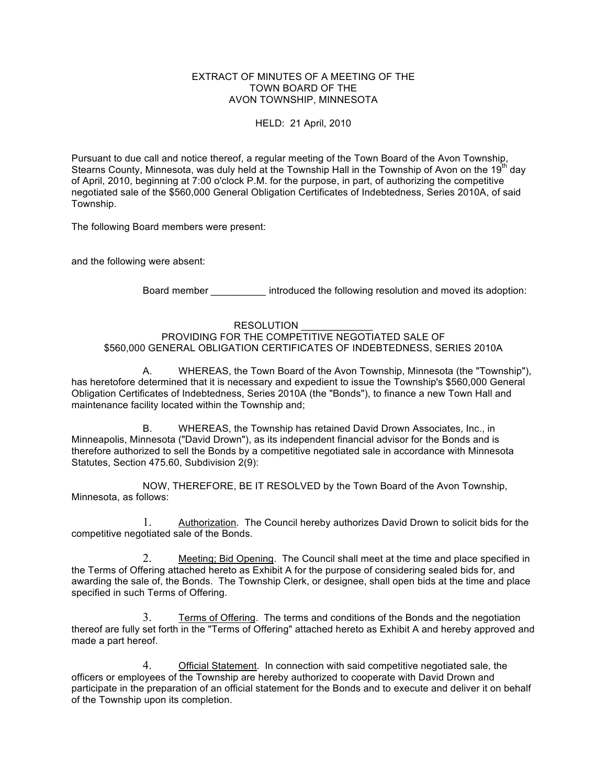#### EXTRACT OF MINUTES OF A MEETING OF THE TOWN BOARD OF THE AVON TOWNSHIP, MINNESOTA

HELD: 21 April, 2010

Pursuant to due call and notice thereof, a regular meeting of the Town Board of the Avon Township, Stearns County, Minnesota, was duly held at the Township Hall in the Township of Avon on the 19<sup>th</sup> day of April, 2010, beginning at 7:00 o'clock P.M. for the purpose, in part, of authorizing the competitive negotiated sale of the \$560,000 General Obligation Certificates of Indebtedness, Series 2010A, of said Township.

The following Board members were present:

and the following were absent:

Board member *\_\_\_\_\_\_\_\_\_\_* introduced the following resolution and moved its adoption:

#### RESOLUTION

PROVIDING FOR THE COMPETITIVE NEGOTIATED SALE OF \$560,000 GENERAL OBLIGATION CERTIFICATES OF INDEBTEDNESS, SERIES 2010A

A. WHEREAS, the Town Board of the Avon Township, Minnesota (the "Township"), has heretofore determined that it is necessary and expedient to issue the Township's \$560,000 General Obligation Certificates of Indebtedness, Series 2010A (the "Bonds"), to finance a new Town Hall and maintenance facility located within the Township and;

B. WHEREAS, the Township has retained David Drown Associates, Inc., in Minneapolis, Minnesota ("David Drown"), as its independent financial advisor for the Bonds and is therefore authorized to sell the Bonds by a competitive negotiated sale in accordance with Minnesota Statutes, Section 475.60, Subdivision 2(9):

NOW, THEREFORE, BE IT RESOLVED by the Town Board of the Avon Township, Minnesota, as follows:

1. Authorization. The Council hereby authorizes David Drown to solicit bids for the competitive negotiated sale of the Bonds.

2. Meeting; Bid Opening. The Council shall meet at the time and place specified in the Terms of Offering attached hereto as Exhibit A for the purpose of considering sealed bids for, and awarding the sale of, the Bonds. The Township Clerk, or designee, shall open bids at the time and place specified in such Terms of Offering.

3. Terms of Offering. The terms and conditions of the Bonds and the negotiation thereof are fully set forth in the "Terms of Offering" attached hereto as Exhibit A and hereby approved and made a part hereof.

4. Official Statement. In connection with said competitive negotiated sale, the officers or employees of the Township are hereby authorized to cooperate with David Drown and participate in the preparation of an official statement for the Bonds and to execute and deliver it on behalf of the Township upon its completion.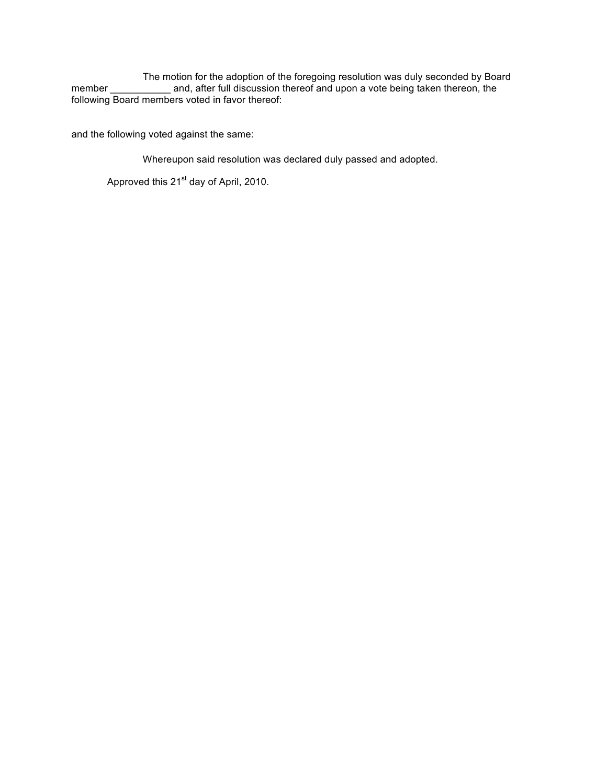The motion for the adoption of the foregoing resolution was duly seconded by Board member *\_\_\_\_\_\_\_\_\_\_\_* and, after full discussion thereof and upon a vote being taken thereon, the following Board members voted in favor thereof:

and the following voted against the same:

Whereupon said resolution was declared duly passed and adopted.

Approved this 21<sup>st</sup> day of April, 2010.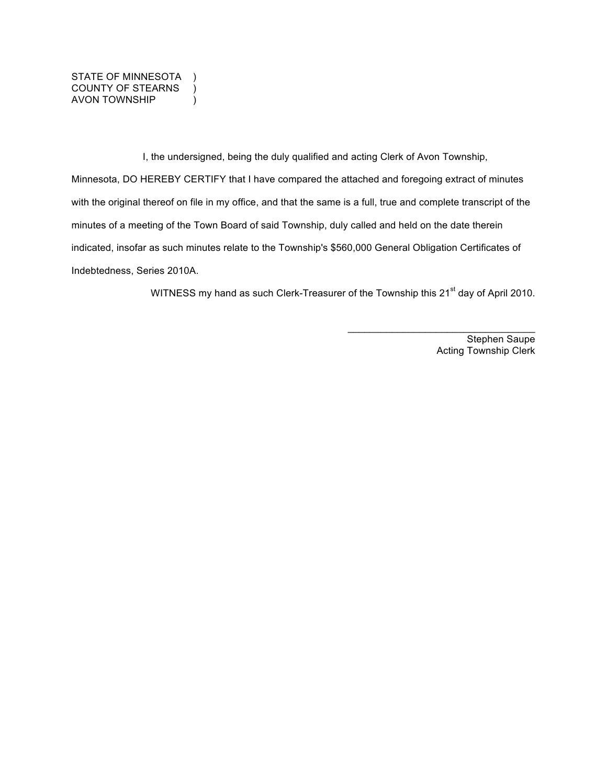STATE OF MINNESOTA ) COUNTY OF STEARNS ) AVON TOWNSHIP )

I, the undersigned, being the duly qualified and acting Clerk of Avon Township, Minnesota, DO HEREBY CERTIFY that I have compared the attached and foregoing extract of minutes with the original thereof on file in my office, and that the same is a full, true and complete transcript of the minutes of a meeting of the Town Board of said Township, duly called and held on the date therein indicated, insofar as such minutes relate to the Township's \$560,000 General Obligation Certificates of Indebtedness, Series 2010A.

WITNESS my hand as such Clerk-Treasurer of the Township this 21<sup>st</sup> day of April 2010.

Stephen Saupe Acting Township Clerk

\_\_\_\_\_\_\_\_\_\_\_\_\_\_\_\_\_\_\_\_\_\_\_\_\_\_\_\_\_\_\_\_\_\_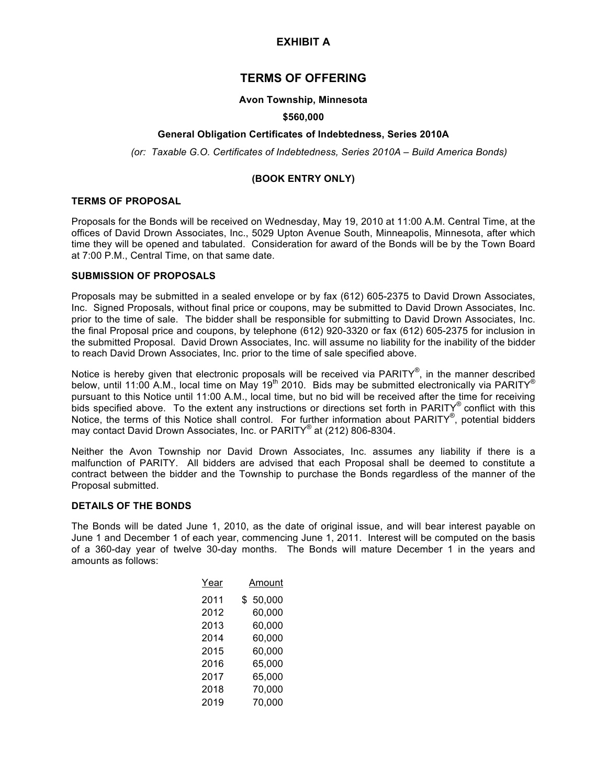## **EXHIBIT A**

# **TERMS OF OFFERING**

#### **Avon Township, Minnesota**

#### **\$560,000**

#### **General Obligation Certificates of Indebtedness, Series 2010A**

*(or: Taxable G.O. Certificates of Indebtedness, Series 2010A – Build America Bonds)*

### **(BOOK ENTRY ONLY)**

#### **TERMS OF PROPOSAL**

Proposals for the Bonds will be received on Wednesday, May 19, 2010 at 11:00 A.M. Central Time, at the offices of David Drown Associates, Inc., 5029 Upton Avenue South, Minneapolis, Minnesota, after which time they will be opened and tabulated. Consideration for award of the Bonds will be by the Town Board at 7:00 P.M., Central Time, on that same date.

### **SUBMISSION OF PROPOSALS**

Proposals may be submitted in a sealed envelope or by fax (612) 605-2375 to David Drown Associates, Inc. Signed Proposals, without final price or coupons, may be submitted to David Drown Associates, Inc. prior to the time of sale. The bidder shall be responsible for submitting to David Drown Associates, Inc. the final Proposal price and coupons, by telephone (612) 920-3320 or fax (612) 605-2375 for inclusion in the submitted Proposal. David Drown Associates, Inc. will assume no liability for the inability of the bidder to reach David Drown Associates, Inc. prior to the time of sale specified above.

Notice is hereby given that electronic proposals will be received via PARITY®, in the manner described below, until 11:00 A.M., local time on May 19<sup>th</sup> 2010. Bids may be submitted electronically via PARITY<sup>®</sup> pursuant to this Notice until 11:00 A.M., local time, but no bid will be received after the time for receiving bids specified above. To the extent any instructions or directions set forth in PARITY® conflict with this Notice, the terms of this Notice shall control. For further information about PARITY®, potential bidders may contact David Drown Associates, Inc. or PARITY® at (212) 806-8304.

Neither the Avon Township nor David Drown Associates, Inc. assumes any liability if there is a malfunction of PARITY. All bidders are advised that each Proposal shall be deemed to constitute a contract between the bidder and the Township to purchase the Bonds regardless of the manner of the Proposal submitted.

### **DETAILS OF THE BONDS**

The Bonds will be dated June 1, 2010, as the date of original issue, and will bear interest payable on June 1 and December 1 of each year, commencing June 1, 2011. Interest will be computed on the basis of a 360-day year of twelve 30-day months. The Bonds will mature December 1 in the years and amounts as follows:

| Year | Amount       |
|------|--------------|
| 2011 | 50,000<br>\$ |
| 2012 | 60,000       |
| 2013 | 60,000       |
| 2014 | 60,000       |
| 2015 | 60,000       |
| 2016 | 65,000       |
| 2017 | 65,000       |
| 2018 | 70,000       |
| 2019 | 70,000       |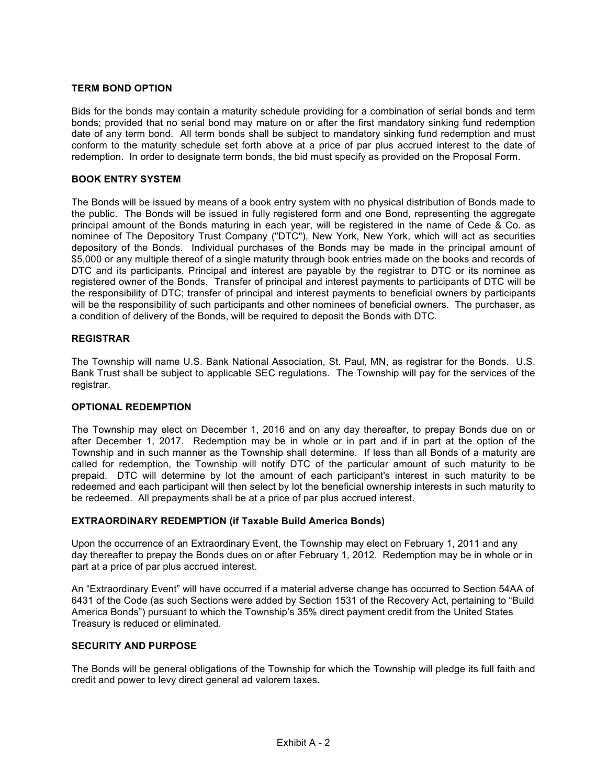### **TERM BOND OPTION**

Bids for the bonds may contain a maturity schedule providing for a combination of serial bonds and term bonds; provided that no serial bond may mature on or after the first mandatory sinking fund redemption date of any term bond. All term bonds shall be subject to mandatory sinking fund redemption and must conform to the maturity schedule set forth above at a price of par plus accrued interest to the date of redemption. In order to designate term bonds, the bid must specify as provided on the Proposal Form.

### **BOOK ENTRY SYSTEM**

The Bonds will be issued by means of a book entry system with no physical distribution of Bonds made to the public. The Bonds will be issued in fully registered form and one Bond, representing the aggregate principal amount of the Bonds maturing in each year, will be registered in the name of Cede & Co. as nominee of The Depository Trust Company ("DTC"), New York, New York, which will act as securities depository of the Bonds. Individual purchases of the Bonds may be made in the principal amount of \$5,000 or any multiple thereof of a single maturity through book entries made on the books and records of DTC and its participants. Principal and interest are payable by the registrar to DTC or its nominee as registered owner of the Bonds. Transfer of principal and interest payments to participants of DTC will be the responsibility of DTC; transfer of principal and interest payments to beneficial owners by participants will be the responsibility of such participants and other nominees of beneficial owners. The purchaser, as a condition of delivery of the Bonds, will be required to deposit the Bonds with DTC.

### **REGISTRAR**

The Township will name U.S. Bank National Association, St. Paul, MN, as registrar for the Bonds. U.S. Bank Trust shall be subject to applicable SEC regulations. The Township will pay for the services of the registrar.

### **OPTIONAL REDEMPTION**

The Township may elect on December 1, 2016 and on any day thereafter, to prepay Bonds due on or after December 1, 2017. Redemption may be in whole or in part and if in part at the option of the Township and in such manner as the Township shall determine. If less than all Bonds of a maturity are called for redemption, the Township will notify DTC of the particular amount of such maturity to be prepaid. DTC will determine by lot the amount of each participant's interest in such maturity to be redeemed and each participant will then select by lot the beneficial ownership interests in such maturity to be redeemed. All prepayments shall be at a price of par plus accrued interest.

### **EXTRAORDINARY REDEMPTION (if Taxable Build America Bonds)**

Upon the occurrence of an Extraordinary Event, the Township may elect on February 1, 2011 and any day thereafter to prepay the Bonds dues on or after February 1, 2012. Redemption may be in whole or in part at a price of par plus accrued interest.

An "Extraordinary Event" will have occurred if a material adverse change has occurred to Section 54AA of 6431 of the Code (as such Sections were added by Section 1531 of the Recovery Act, pertaining to "Build America Bonds") pursuant to which the Township's 35% direct payment credit from the United States Treasury is reduced or eliminated.

### **SECURITY AND PURPOSE**

The Bonds will be general obligations of the Township for which the Township will pledge its full faith and credit and power to levy direct general ad valorem taxes.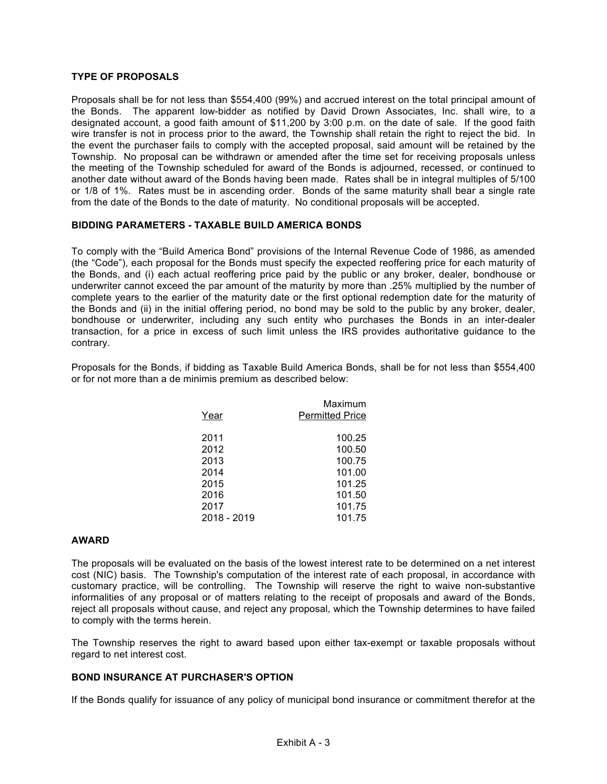### **TYPE OF PROPOSALS**

Proposals shall be for not less than \$554,400 (99%) and accrued interest on the total principal amount of the Bonds. The apparent low-bidder as notified by David Drown Associates, Inc. shall wire, to a designated account, a good faith amount of \$11,200 by 3:00 p.m. on the date of sale. If the good faith wire transfer is not in process prior to the award, the Township shall retain the right to reject the bid. In the event the purchaser fails to comply with the accepted proposal, said amount will be retained by the Township. No proposal can be withdrawn or amended after the time set for receiving proposals unless the meeting of the Township scheduled for award of the Bonds is adjourned, recessed, or continued to another date without award of the Bonds having been made. Rates shall be in integral multiples of 5/100 or 1/8 of 1%. Rates must be in ascending order. Bonds of the same maturity shall bear a single rate from the date of the Bonds to the date of maturity. No conditional proposals will be accepted.

### **BIDDING PARAMETERS - TAXABLE BUILD AMERICA BONDS**

To comply with the "Build America Bond" provisions of the Internal Revenue Code of 1986, as amended (the "Code"), each proposal for the Bonds must specify the expected reoffering price for each maturity of the Bonds, and (i) each actual reoffering price paid by the public or any broker, dealer, bondhouse or underwriter cannot exceed the par amount of the maturity by more than .25% multiplied by the number of complete years to the earlier of the maturity date or the first optional redemption date for the maturity of the Bonds and (ii) in the initial offering period, no bond may be sold to the public by any broker, dealer, bondhouse or underwriter, including any such entity who purchases the Bonds in an inter-dealer transaction, for a price in excess of such limit unless the IRS provides authoritative guidance to the contrary.

Proposals for the Bonds, if bidding as Taxable Build America Bonds, shall be for not less than \$554,400 or for not more than a de minimis premium as described below:

| Year        | Maximum<br><b>Permitted Price</b> |
|-------------|-----------------------------------|
| 2011        | 100.25                            |
| 2012        | 100.50                            |
| 2013        | 100.75                            |
| 2014        | 101.00                            |
| 2015        | 101.25                            |
| 2016        | 101.50                            |
| 2017        | 101.75                            |
| 2018 - 2019 | 101.75                            |

### **AWARD**

The proposals will be evaluated on the basis of the lowest interest rate to be determined on a net interest cost (NIC) basis. The Township's computation of the interest rate of each proposal, in accordance with customary practice, will be controlling. The Township will reserve the right to waive non-substantive informalities of any proposal or of matters relating to the receipt of proposals and award of the Bonds, reject all proposals without cause, and reject any proposal, which the Township determines to have failed to comply with the terms herein.

The Township reserves the right to award based upon either tax-exempt or taxable proposals without regard to net interest cost.

### **BOND INSURANCE AT PURCHASER'S OPTION**

If the Bonds qualify for issuance of any policy of municipal bond insurance or commitment therefor at the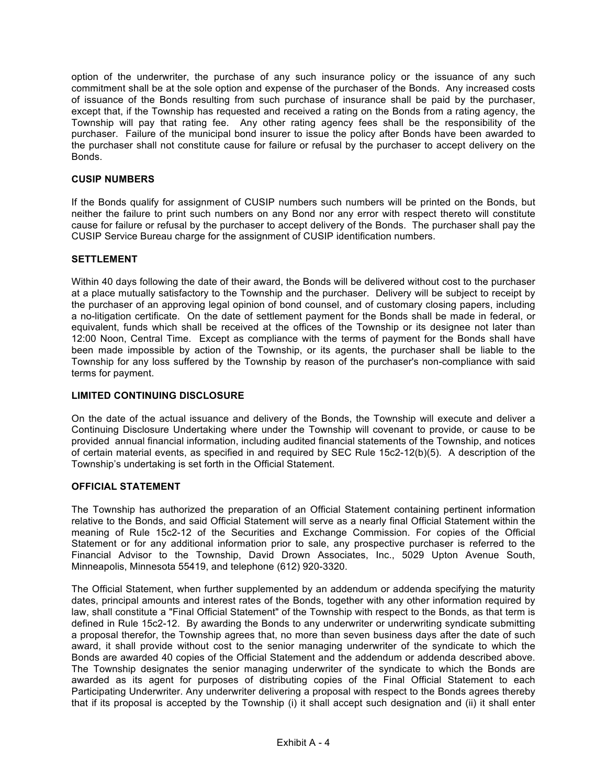option of the underwriter, the purchase of any such insurance policy or the issuance of any such commitment shall be at the sole option and expense of the purchaser of the Bonds. Any increased costs of issuance of the Bonds resulting from such purchase of insurance shall be paid by the purchaser, except that, if the Township has requested and received a rating on the Bonds from a rating agency, the Township will pay that rating fee. Any other rating agency fees shall be the responsibility of the purchaser. Failure of the municipal bond insurer to issue the policy after Bonds have been awarded to the purchaser shall not constitute cause for failure or refusal by the purchaser to accept delivery on the Bonds.

### **CUSIP NUMBERS**

If the Bonds qualify for assignment of CUSIP numbers such numbers will be printed on the Bonds, but neither the failure to print such numbers on any Bond nor any error with respect thereto will constitute cause for failure or refusal by the purchaser to accept delivery of the Bonds. The purchaser shall pay the CUSIP Service Bureau charge for the assignment of CUSIP identification numbers.

### **SETTLEMENT**

Within 40 days following the date of their award, the Bonds will be delivered without cost to the purchaser at a place mutually satisfactory to the Township and the purchaser. Delivery will be subject to receipt by the purchaser of an approving legal opinion of bond counsel, and of customary closing papers, including a no-litigation certificate. On the date of settlement payment for the Bonds shall be made in federal, or equivalent, funds which shall be received at the offices of the Township or its designee not later than 12:00 Noon, Central Time. Except as compliance with the terms of payment for the Bonds shall have been made impossible by action of the Township, or its agents, the purchaser shall be liable to the Township for any loss suffered by the Township by reason of the purchaser's non-compliance with said terms for payment.

### **LIMITED CONTINUING DISCLOSURE**

On the date of the actual issuance and delivery of the Bonds, the Township will execute and deliver a Continuing Disclosure Undertaking where under the Township will covenant to provide, or cause to be provided annual financial information, including audited financial statements of the Township, and notices of certain material events, as specified in and required by SEC Rule 15c2-12(b)(5). A description of the Township's undertaking is set forth in the Official Statement.

### **OFFICIAL STATEMENT**

The Township has authorized the preparation of an Official Statement containing pertinent information relative to the Bonds, and said Official Statement will serve as a nearly final Official Statement within the meaning of Rule 15c2-12 of the Securities and Exchange Commission. For copies of the Official Statement or for any additional information prior to sale, any prospective purchaser is referred to the Financial Advisor to the Township, David Drown Associates, Inc., 5029 Upton Avenue South, Minneapolis, Minnesota 55419, and telephone (612) 920-3320.

The Official Statement, when further supplemented by an addendum or addenda specifying the maturity dates, principal amounts and interest rates of the Bonds, together with any other information required by law, shall constitute a "Final Official Statement" of the Township with respect to the Bonds, as that term is defined in Rule 15c2-12. By awarding the Bonds to any underwriter or underwriting syndicate submitting a proposal therefor, the Township agrees that, no more than seven business days after the date of such award, it shall provide without cost to the senior managing underwriter of the syndicate to which the Bonds are awarded 40 copies of the Official Statement and the addendum or addenda described above. The Township designates the senior managing underwriter of the syndicate to which the Bonds are awarded as its agent for purposes of distributing copies of the Final Official Statement to each Participating Underwriter. Any underwriter delivering a proposal with respect to the Bonds agrees thereby that if its proposal is accepted by the Township (i) it shall accept such designation and (ii) it shall enter